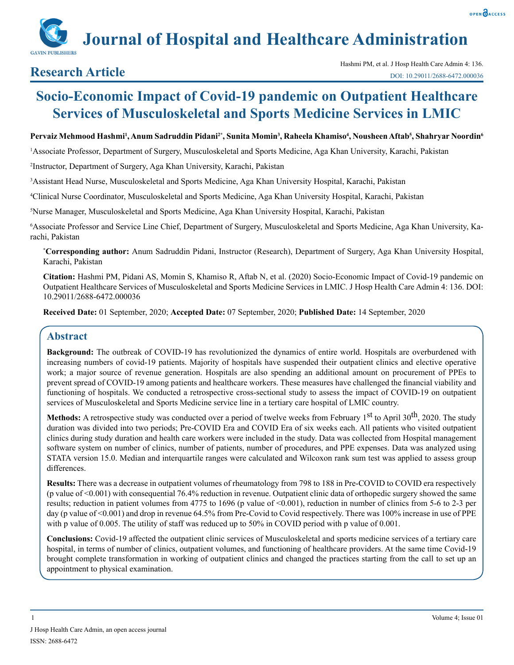# **Journal of Hospital and Healthcare Administration**

## **Socio-Economic Impact of Covid-19 pandemic on Outpatient Healthcare Services of Musculoskeletal and Sports Medicine Services in LMIC**

#### **Pervaiz Mehmood Hashmi1 , Anum Sadruddin Pidani2\*, Sunita Momin3 , Raheela Khamiso4 , Nousheen Aftab5 , Shahryar Noordin6**

1 Associate Professor, Department of Surgery, Musculoskeletal and Sports Medicine, Aga Khan University, Karachi, Pakistan

2 Instructor, Department of Surgery, Aga Khan University, Karachi, Pakistan

3 Assistant Head Nurse, Musculoskeletal and Sports Medicine, Aga Khan University Hospital, Karachi, Pakistan

4 Clinical Nurse Coordinator, Musculoskeletal and Sports Medicine, Aga Khan University Hospital, Karachi, Pakistan

5 Nurse Manager, Musculoskeletal and Sports Medicine, Aga Khan University Hospital, Karachi, Pakistan

6 Associate Professor and Service Line Chief, Department of Surgery, Musculoskeletal and Sports Medicine, Aga Khan University, Karachi, Pakistan

**\* Corresponding author:** Anum Sadruddin Pidani, Instructor (Research), Department of Surgery, Aga Khan University Hospital, Karachi, Pakistan

**Citation:** Hashmi PM, Pidani AS, Momin S, Khamiso R, Aftab N, et al. (2020) Socio-Economic Impact of Covid-19 pandemic on Outpatient Healthcare Services of Musculoskeletal and Sports Medicine Services in LMIC. J Hosp Health Care Admin 4: 136. DOI: 10.29011/2688-6472.000036

**Received Date:** 01 September, 2020; **Accepted Date:** 07 September, 2020; **Published Date:** 14 September, 2020

### **Abstract**

**Background:** The outbreak of COVID-19 has revolutionized the dynamics of entire world. Hospitals are overburdened with increasing numbers of covid-19 patients. Majority of hospitals have suspended their outpatient clinics and elective operative work; a major source of revenue generation. Hospitals are also spending an additional amount on procurement of PPEs to prevent spread of COVID-19 among patients and healthcare workers. These measures have challenged the financial viability and functioning of hospitals. We conducted a retrospective cross-sectional study to assess the impact of COVID-19 on outpatient services of Musculoskeletal and Sports Medicine service line in a tertiary care hospital of LMIC country.

**Methods:** A retrospective study was conducted over a period of twelve weeks from February 1<sup>st</sup> to April 30<sup>th</sup>, 2020. The study duration was divided into two periods; Pre-COVID Era and COVID Era of six weeks each. All patients who visited outpatient clinics during study duration and health care workers were included in the study. Data was collected from Hospital management software system on number of clinics, number of patients, number of procedures, and PPE expenses. Data was analyzed using STATA version 15.0. Median and interquartile ranges were calculated and Wilcoxon rank sum test was applied to assess group differences.

**Results:** There was a decrease in outpatient volumes of rheumatology from 798 to 188 in Pre-COVID to COVID era respectively (p value of <0.001) with consequential 76.4% reduction in revenue. Outpatient clinic data of orthopedic surgery showed the same results; reduction in patient volumes from 4775 to 1696 (p value of <0.001), reduction in number of clinics from 5-6 to 2-3 per day (p value of <0.001) and drop in revenue 64.5% from Pre-Covid to Covid respectively. There was 100% increase in use of PPE with p value of 0.005. The utility of staff was reduced up to 50% in COVID period with p value of 0.001.

**Conclusions:** Covid-19 affected the outpatient clinic services of Musculoskeletal and sports medicine services of a tertiary care hospital, in terms of number of clinics, outpatient volumes, and functioning of healthcare providers. At the same time Covid-19 brought complete transformation in working of outpatient clinics and changed the practices starting from the call to set up an appointment to physical examination.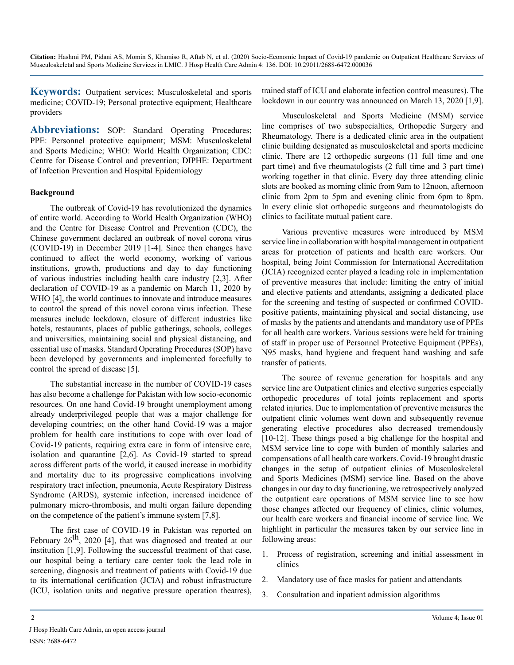**Keywords:** Outpatient services; Musculoskeletal and sports medicine; COVID-19; Personal protective equipment; Healthcare providers

Abbreviations: SOP: Standard Operating Procedures; PPE: Personnel protective equipment; MSM: Musculoskeletal and Sports Medicine; WHO: World Health Organization; CDC: Centre for Disease Control and prevention; DIPHE: Department of Infection Prevention and Hospital Epidemiology

#### **Background**

The outbreak of Covid-19 has revolutionized the dynamics of entire world. According to World Health Organization (WHO) and the Centre for Disease Control and Prevention (CDC), the Chinese government declared an outbreak of novel corona virus (COVID-19) in December 2019 [1-4]. Since then changes have continued to affect the world economy, working of various institutions, growth, productions and day to day functioning of various industries including health care industry [2,3]. After declaration of COVID-19 as a pandemic on March 11, 2020 by WHO [4], the world continues to innovate and introduce measures to control the spread of this novel corona virus infection. These measures include lockdown, closure of different industries like hotels, restaurants, places of public gatherings, schools, colleges and universities, maintaining social and physical distancing, and essential use of masks. Standard Operating Procedures (SOP) have been developed by governments and implemented forcefully to control the spread of disease [5].

The substantial increase in the number of COVID-19 cases has also become a challenge for Pakistan with low socio-economic resources. On one hand Covid-19 brought unemployment among already underprivileged people that was a major challenge for developing countries; on the other hand Covid-19 was a major problem for health care institutions to cope with over load of Covid-19 patients, requiring extra care in form of intensive care, isolation and quarantine [2,6]. As Covid-19 started to spread across different parts of the world, it caused increase in morbidity and mortality due to its progressive complications involving respiratory tract infection, pneumonia, Acute Respiratory Distress Syndrome (ARDS), systemic infection, increased incidence of pulmonary micro-thrombosis, and multi organ failure depending on the competence of the patient's immune system [7,8].

The first case of COVID-19 in Pakistan was reported on February  $26^{th}$ ,  $2020$  [4], that was diagnosed and treated at our institution [1,9]. Following the successful treatment of that case, our hospital being a tertiary care center took the lead role in screening, diagnosis and treatment of patients with Covid-19 due to its international certification (JCIA) and robust infrastructure (ICU, isolation units and negative pressure operation theatres), trained staff of ICU and elaborate infection control measures). The lockdown in our country was announced on March 13, 2020 [1,9].

Musculoskeletal and Sports Medicine (MSM) service line comprises of two subspecialties, Orthopedic Surgery and Rheumatology. There is a dedicated clinic area in the outpatient clinic building designated as musculoskeletal and sports medicine clinic. There are 12 orthopedic surgeons (11 full time and one part time) and five rheumatologists (2 full time and 3 part time) working together in that clinic. Every day three attending clinic slots are booked as morning clinic from 9am to 12noon, afternoon clinic from 2pm to 5pm and evening clinic from 6pm to 8pm. In every clinic slot orthopedic surgeons and rheumatologists do clinics to facilitate mutual patient care.

Various preventive measures were introduced by MSM service line in collaboration with hospital management in outpatient areas for protection of patients and health care workers. Our hospital, being Joint Commission for International Accreditation (JCIA) recognized center played a leading role in implementation of preventive measures that include: limiting the entry of initial and elective patients and attendants, assigning a dedicated place for the screening and testing of suspected or confirmed COVIDpositive patients, maintaining physical and social distancing, use of masks by the patients and attendants and mandatory use of PPEs for all health care workers. Various sessions were held for training of staff in proper use of Personnel Protective Equipment (PPEs), N95 masks, hand hygiene and frequent hand washing and safe transfer of patients.

The source of revenue generation for hospitals and any service line are Outpatient clinics and elective surgeries especially orthopedic procedures of total joints replacement and sports related injuries. Due to implementation of preventive measures the outpatient clinic volumes went down and subsequently revenue generating elective procedures also decreased tremendously [10-12]. These things posed a big challenge for the hospital and MSM service line to cope with burden of monthly salaries and compensations of all health care workers. Covid-19 brought drastic changes in the setup of outpatient clinics of Musculoskeletal and Sports Medicines (MSM) service line. Based on the above changes in our day to day functioning, we retrospectively analyzed the outpatient care operations of MSM service line to see how those changes affected our frequency of clinics, clinic volumes, our health care workers and financial income of service line. We highlight in particular the measures taken by our service line in following areas:

- 1. Process of registration, screening and initial assessment in clinics
- 2. Mandatory use of face masks for patient and attendants
- 3. Consultation and inpatient admission algorithms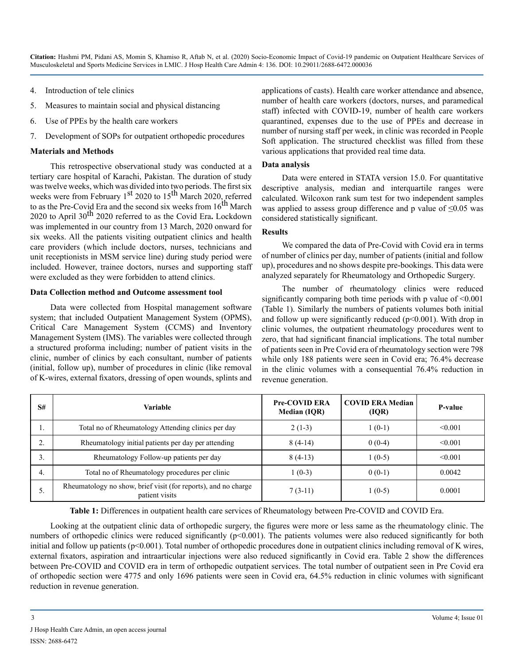- 4. Introduction of tele clinics
- 5. Measures to maintain social and physical distancing
- 6. Use of PPEs by the health care workers
- 7. Development of SOPs for outpatient orthopedic procedures

#### **Materials and Methods**

This retrospective observational study was conducted at a tertiary care hospital of Karachi, Pakistan. The duration of study was twelve weeks, which was divided into two periods. The first six weeks were from February  $1<sup>st</sup> 2020$  to  $15<sup>th</sup>$  March 2020, referred to as the Pre-Covid Era and the second six weeks from  $16<sup>th</sup>$  March 2020 to April 30th 2020 referred to as the Covid Era**.** Lockdown was implemented in our country from 13 March, 2020 onward for six weeks. All the patients visiting outpatient clinics and health care providers (which include doctors, nurses, technicians and unit receptionists in MSM service line) during study period were included. However, trainee doctors, nurses and supporting staff were excluded as they were forbidden to attend clinics.

#### **Data Collection method and Outcome assessment tool**

Data were collected from Hospital management software system; that included Outpatient Management System (OPMS), Critical Care Management System (CCMS) and Inventory Management System (IMS). The variables were collected through a structured proforma including; number of patient visits in the clinic, number of clinics by each consultant, number of patients (initial, follow up), number of procedures in clinic (like removal of K-wires, external fixators, dressing of open wounds, splints and applications of casts). Health care worker attendance and absence, number of health care workers (doctors, nurses, and paramedical staff) infected with COVID-19, number of health care workers quarantined, expenses due to the use of PPEs and decrease in number of nursing staff per week, in clinic was recorded in People Soft application. The structured checklist was filled from these various applications that provided real time data.

#### **Data analysis**

Data were entered in STATA version 15.0. For quantitative descriptive analysis, median and interquartile ranges were calculated. Wilcoxon rank sum test for two independent samples was applied to assess group difference and p value of  $\leq 0.05$  was considered statistically significant.

#### **Results**

We compared the data of Pre-Covid with Covid era in terms of number of clinics per day, number of patients (initial and follow up), procedures and no shows despite pre-bookings. This data were analyzed separately for Rheumatology and Orthopedic Surgery.

The number of rheumatology clinics were reduced significantly comparing both time periods with p value of  $\leq 0.001$ (Table 1). Similarly the numbers of patients volumes both initial and follow up were significantly reduced  $(p<0.001)$ . With drop in clinic volumes, the outpatient rheumatology procedures went to zero, that had significant financial implications. The total number of patients seen in Pre Covid era of rheumatology section were 798 while only 188 patients were seen in Covid era; 76.4% decrease in the clinic volumes with a consequential 76.4% reduction in revenue generation.

| S# | Variable                                                                         | <b>Pre-COVID ERA</b><br><b>Median (IQR)</b> | <b>COVID ERA Median</b><br>(IQR) | P-value |
|----|----------------------------------------------------------------------------------|---------------------------------------------|----------------------------------|---------|
| ., | Total no of Rheumatology Attending clinics per day                               | $2(1-3)$                                    | $1(0-1)$                         | < 0.001 |
|    | Rheumatology initial patients per day per attending                              | $8(4-14)$                                   | $0(0-4)$                         | < 0.001 |
|    | Rheumatology Follow-up patients per day                                          | $8(4-13)$                                   | $1(0-5)$                         | < 0.001 |
| 4. | Total no of Rheumatology procedures per clinic                                   | $1(0-3)$                                    | $0(0-1)$                         | 0.0042  |
| C. | Rheumatology no show, brief visit (for reports), and no charge<br>patient visits | $7(3-11)$                                   | $1(0-5)$                         | 0.0001  |

**Table 1:** Differences in outpatient health care services of Rheumatology between Pre-COVID and COVID Era.

Looking at the outpatient clinic data of orthopedic surgery, the figures were more or less same as the rheumatology clinic. The numbers of orthopedic clinics were reduced significantly (p<0.001). The patients volumes were also reduced significantly for both initial and follow up patients (p<0.001). Total number of orthopedic procedures done in outpatient clinics including removal of K wires, external fixators, aspiration and intraarticular injections were also reduced significantly in Covid era. Table 2 show the differences between Pre-COVID and COVID era in term of orthopedic outpatient services. The total number of outpatient seen in Pre Covid era of orthopedic section were 4775 and only 1696 patients were seen in Covid era, 64.5% reduction in clinic volumes with significant reduction in revenue generation.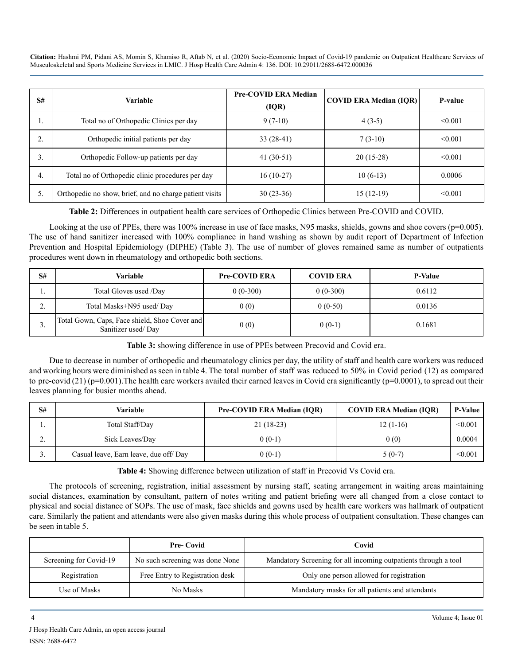| S# | Variable                                                | <b>Pre-COVID ERA Median</b><br>(IQR) | <b>COVID ERA Median (IQR)</b> | P-value |
|----|---------------------------------------------------------|--------------------------------------|-------------------------------|---------|
| ., | Total no of Orthopedic Clinics per day                  | $9(7-10)$                            | $4(3-5)$                      | < 0.001 |
| ۷. | Orthopedic initial patients per day                     | $33(28-41)$                          | $7(3-10)$                     | < 0.001 |
|    | Orthopedic Follow-up patients per day                   | 41 $(30-51)$                         | $20(15-28)$                   | < 0.001 |
| 4. | Total no of Orthopedic clinic procedures per day        | $16(10-27)$                          | $10(6-13)$                    | 0.0006  |
| 5. | Orthopedic no show, brief, and no charge patient visits | $30(23-36)$                          | $15(12-19)$                   | < 0.001 |

**Table 2:** Differences in outpatient health care services of Orthopedic Clinics between Pre-COVID and COVID.

Looking at the use of PPEs, there was 100% increase in use of face masks, N95 masks, shields, gowns and shoe covers ( $p=0.005$ ). The use of hand sanitizer increased with 100% compliance in hand washing as shown by audit report of Department of Infection Prevention and Hospital Epidemiology (DIPHE) (Table 3). The use of number of gloves remained same as number of outpatients procedures went down in rheumatology and orthopedic both sections.

| S#      | Variable                                                            | <b>Pre-COVID ERA</b> | <b>COVID ERA</b> | <b>P-Value</b> |
|---------|---------------------------------------------------------------------|----------------------|------------------|----------------|
|         | Total Gloves used /Day                                              | $0(0-300)$           | $0(0-300)$       | 0.6112         |
| ◠<br>٠. | Total Masks+N95 used/Day                                            | 0(0)                 | $0(0-50)$        | 0.0136         |
| . ر     | Total Gown, Caps, Face shield, Shoe Cover and<br>Sanitizer used/Day | 0(0)                 | $0(0-1)$         | 0.1681         |

**Table 3:** showing difference in use of PPEs between Precovid and Covid era.

Due to decrease in number of orthopedic and rheumatology clinics per day, the utility of staff and health care workers was reduced and working hours were diminished as seen in table 4. The total number of staff was reduced to 50% in Covid period (12) as compared to pre-covid (21) ( $p=0.001$ ). The health care workers availed their earned leaves in Covid era significantly ( $p=0.0001$ ), to spread out their leaves planning for busier months ahead.

| S#  | Variable                               | <b>Pre-COVID ERA Median (IOR)</b> | <b>COVID ERA Median (IOR)</b> | <b>P-Value</b> |
|-----|----------------------------------------|-----------------------------------|-------------------------------|----------------|
| . . | Total Staff/Day                        | $21(18-23)$                       | $12(1-16)$                    | < 0.001        |
| ـ ت | Sick Leaves/Day                        | $0(0-1)$                          | 0(0)                          | 0.0004         |
| J.  | Casual leave, Earn leave, due off/ Day | $0(0-1)$                          | $5(0-7)$                      | < 0.001        |

**Table 4:** Showing difference between utilization of staff in Precovid Vs Covid era.

The protocols of screening, registration, initial assessment by nursing staff, seating arrangement in waiting areas maintaining social distances, examination by consultant, pattern of notes writing and patient briefing were all changed from a close contact to physical and social distance of SOPs. The use of mask, face shields and gowns used by health care workers was hallmark of outpatient care. Similarly the patient and attendants were also given masks during this whole process of outpatient consultation. These changes can be seen in table 5.

|                        | <b>Pre-Covid</b>                | Covid                                                           |
|------------------------|---------------------------------|-----------------------------------------------------------------|
| Screening for Covid-19 | No such screening was done None | Mandatory Screening for all incoming outpatients through a tool |
| Registration           | Free Entry to Registration desk | Only one person allowed for registration                        |
| Use of Masks           | No Masks                        | Mandatory masks for all patients and attendants                 |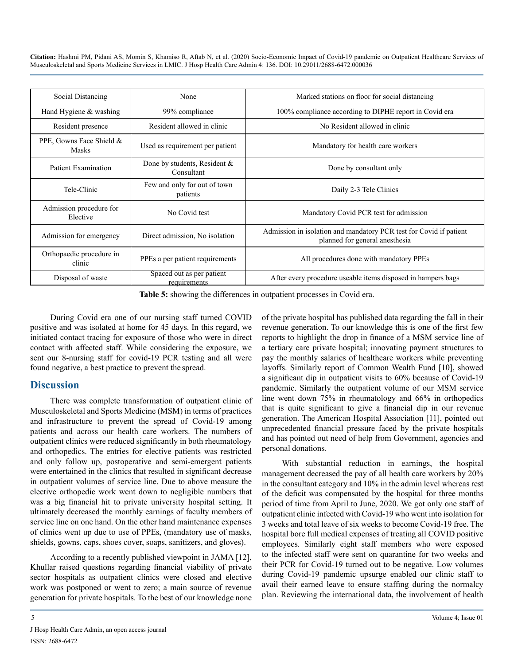| Social Distancing<br>None                                                   |                                           | Marked stations on floor for social distancing                                                       |
|-----------------------------------------------------------------------------|-------------------------------------------|------------------------------------------------------------------------------------------------------|
| Hand Hygiene $&$ washing                                                    | 99% compliance                            | 100% compliance according to DIPHE report in Covid era                                               |
| Resident presence                                                           | Resident allowed in clinic                | No Resident allowed in clinic                                                                        |
| PPE, Gowns Face Shield &<br>Used as requirement per patient<br><b>Masks</b> |                                           | Mandatory for health care workers                                                                    |
| Done by students, Resident $\&$<br>Patient Examination<br>Consultant        |                                           | Done by consultant only                                                                              |
| Tele-Clinic                                                                 | Few and only for out of town<br>patients  | Daily 2-3 Tele Clinics                                                                               |
| Admission procedure for<br>No Covid test<br>Elective                        |                                           | Mandatory Covid PCR test for admission                                                               |
| Admission for emergency                                                     | Direct admission, No isolation            | Admission in isolation and mandatory PCR test for Covid if patient<br>planned for general anesthesia |
| Orthopaedic procedure in<br>clinic                                          | PPEs a per patient requirements           | All procedures done with mandatory PPEs                                                              |
| Disposal of waste                                                           | Spaced out as per patient<br>requirements | After every procedure useable items disposed in hampers bags                                         |

**Table 5:** showing the differences in outpatient processes in Covid era.

During Covid era one of our nursing staff turned COVID positive and was isolated at home for 45 days. In this regard, we initiated contact tracing for exposure of those who were in direct contact with affected staff. While considering the exposure, we sent our 8-nursing staff for covid-19 PCR testing and all were found negative, a best practice to prevent the spread.

#### **Discussion**

There was complete transformation of outpatient clinic of Musculoskeletal and Sports Medicine (MSM) in terms of practices and infrastructure to prevent the spread of Covid-19 among patients and across our health care workers. The numbers of outpatient clinics were reduced significantly in both rheumatology and orthopedics. The entries for elective patients was restricted and only follow up, postoperative and semi-emergent patients were entertained in the clinics that resulted in significant decrease in outpatient volumes of service line. Due to above measure the elective orthopedic work went down to negligible numbers that was a big financial hit to private university hospital setting. It ultimately decreased the monthly earnings of faculty members of service line on one hand. On the other hand maintenance expenses of clinics went up due to use of PPEs, (mandatory use of masks, shields, gowns, caps, shoes cover, soaps, sanitizers, and gloves).

According to a recently published viewpoint in JAMA [12], Khullar raised questions regarding financial viability of private sector hospitals as outpatient clinics were closed and elective work was postponed or went to zero; a main source of revenue generation for private hospitals. To the best of our knowledge none

of the private hospital has published data regarding the fall in their revenue generation. To our knowledge this is one of the first few reports to highlight the drop in finance of a MSM service line of a tertiary care private hospital; innovating payment structures to pay the monthly salaries of healthcare workers while preventing layoffs. Similarly report of Common Wealth Fund [10], showed a significant dip in outpatient visits to 60% because of Covid-19 pandemic. Similarly the outpatient volume of our MSM service line went down 75% in rheumatology and 66% in orthopedics that is quite significant to give a financial dip in our revenue generation. The American Hospital Association [11], pointed out unprecedented financial pressure faced by the private hospitals and has pointed out need of help from Government, agencies and personal donations.

With substantial reduction in earnings, the hospital management decreased the pay of all health care workers by 20% in the consultant category and 10% in the admin level whereas rest of the deficit was compensated by the hospital for three months period of time from April to June, 2020. We got only one staff of outpatient clinic infected with Covid-19 who went into isolation for 3 weeks and total leave of six weeks to become Covid-19 free. The hospital bore full medical expenses of treating all COVID positive employees. Similarly eight staff members who were exposed to the infected staff were sent on quarantine for two weeks and their PCR for Covid-19 turned out to be negative. Low volumes during Covid-19 pandemic upsurge enabled our clinic staff to avail their earned leave to ensure staffing during the normalcy plan. Reviewing the international data, the involvement of health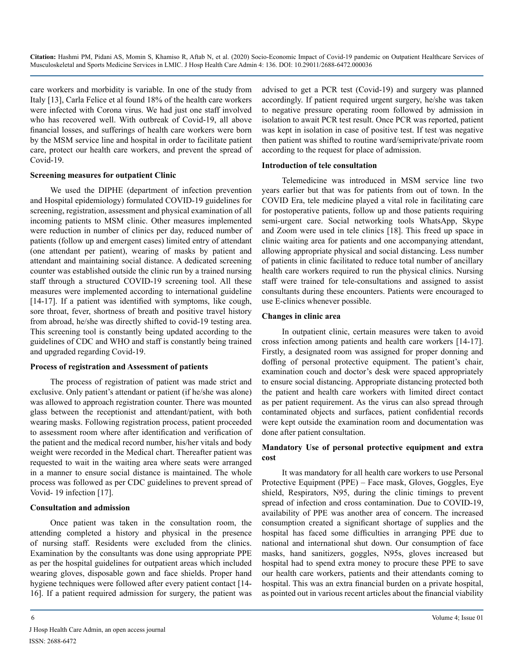care workers and morbidity is variable. In one of the study from Italy [13], Carla Felice et al found 18% of the health care workers were infected with Corona virus. We had just one staff involved who has recovered well. With outbreak of Covid-19, all above financial losses, and sufferings of health care workers were born by the MSM service line and hospital in order to facilitate patient care, protect our health care workers, and prevent the spread of Covid-19.

#### **Screening measures for outpatient Clinic**

We used the DIPHE (department of infection prevention and Hospital epidemiology) formulated COVID-19 guidelines for screening, registration, assessment and physical examination of all incoming patients to MSM clinic. Other measures implemented were reduction in number of clinics per day, reduced number of patients (follow up and emergent cases) limited entry of attendant (one attendant per patient), wearing of masks by patient and attendant and maintaining social distance. A dedicated screening counter was established outside the clinic run by a trained nursing staff through a structured COVID-19 screening tool. All these measures were implemented according to international guideline [14-17]. If a patient was identified with symptoms, like cough, sore throat, fever, shortness of breath and positive travel history from abroad, he/she was directly shifted to covid-19 testing area. This screening tool is constantly being updated according to the guidelines of CDC and WHO and staff is constantly being trained and upgraded regarding Covid-19.

#### **Process of registration and Assessment of patients**

The process of registration of patient was made strict and exclusive. Only patient's attendant or patient (if he/she was alone) was allowed to approach registration counter. There was mounted glass between the receptionist and attendant/patient, with both wearing masks. Following registration process, patient proceeded to assessment room where after identification and verification of the patient and the medical record number, his/her vitals and body weight were recorded in the Medical chart. Thereafter patient was requested to wait in the waiting area where seats were arranged in a manner to ensure social distance is maintained. The whole process was followed as per CDC guidelines to prevent spread of Vovid-19 infection [17].

#### **Consultation and admission**

Once patient was taken in the consultation room, the attending completed a history and physical in the presence of nursing staff. Residents were excluded from the clinics. Examination by the consultants was done using appropriate PPE as per the hospital guidelines for outpatient areas which included wearing gloves, disposable gown and face shields. Proper hand hygiene techniques were followed after every patient contact [14- 16]. If a patient required admission for surgery, the patient was advised to get a PCR test (Covid-19) and surgery was planned accordingly. If patient required urgent surgery, he/she was taken to negative pressure operating room followed by admission in isolation to await PCR test result. Once PCR was reported, patient was kept in isolation in case of positive test. If test was negative then patient was shifted to routine ward/semiprivate/private room according to the request for place of admission.

#### **Introduction of tele consultation**

Telemedicine was introduced in MSM service line two years earlier but that was for patients from out of town. In the COVID Era, tele medicine played a vital role in facilitating care for postoperative patients, follow up and those patients requiring semi-urgent care. Social networking tools WhatsApp, Skype and Zoom were used in tele clinics [18]. This freed up space in clinic waiting area for patients and one accompanying attendant, allowing appropriate physical and social distancing. Less number of patients in clinic facilitated to reduce total number of ancillary health care workers required to run the physical clinics. Nursing staff were trained for tele-consultations and assigned to assist consultants during these encounters. Patients were encouraged to use E-clinics whenever possible.

#### **Changes in clinic area**

In outpatient clinic, certain measures were taken to avoid cross infection among patients and health care workers [14-17]. Firstly, a designated room was assigned for proper donning and doffing of personal protective equipment. The patient's chair, examination couch and doctor's desk were spaced appropriately to ensure social distancing. Appropriate distancing protected both the patient and health care workers with limited direct contact as per patient requirement. As the virus can also spread through contaminated objects and surfaces, patient confidential records were kept outside the examination room and documentation was done after patient consultation.

#### **Mandatory Use of personal protective equipment and extra cost**

It was mandatory for all health care workers to use Personal Protective Equipment (PPE) – Face mask, Gloves, Goggles, Eye shield, Respirators, N95, during the clinic timings to prevent spread of infection and cross contamination. Due to COVID-19, availability of PPE was another area of concern. The increased consumption created a significant shortage of supplies and the hospital has faced some difficulties in arranging PPE due to national and international shut down. Our consumption of face masks, hand sanitizers, goggles, N95s, gloves increased but hospital had to spend extra money to procure these PPE to save our health care workers, patients and their attendants coming to hospital. This was an extra financial burden on a private hospital, as pointed out in various recent articles about the financial viability